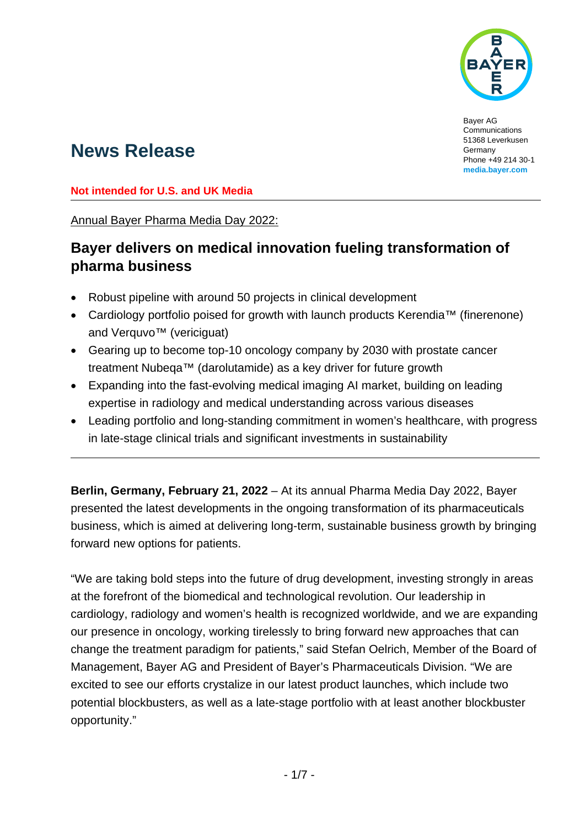

Bayer AG **Communications** 51368 Leverkusen Germany Phone +49 214 30-1 **[media.bayer.com](http://media.bayer.com/)**

# **News Release**

**Not intended for U.S. and UK Media**

Annual Bayer Pharma Media Day 2022:

## **Bayer delivers on medical innovation fueling transformation of pharma business**

- Robust pipeline with around 50 projects in clinical development
- Cardiology portfolio poised for growth with launch products Kerendia™ (finerenone) and Verquvo<sup>™</sup> (vericiguat)
- Gearing up to become top-10 oncology company by 2030 with prostate cancer treatment Nubeqa™ (darolutamide) as a key driver for future growth
- Expanding into the fast-evolving medical imaging AI market, building on leading expertise in radiology and medical understanding across various diseases
- Leading portfolio and long-standing commitment in women's healthcare, with progress in late-stage clinical trials and significant investments in sustainability

**Berlin, Germany, February 21, 2022** – At its annual Pharma Media Day 2022, Bayer presented the latest developments in the ongoing transformation of its pharmaceuticals business, which is aimed at delivering long-term, sustainable business growth by bringing forward new options for patients.

"We are taking bold steps into the future of drug development, investing strongly in areas at the forefront of the biomedical and technological revolution. Our leadership in cardiology, radiology and women's health is recognized worldwide, and we are expanding our presence in oncology, working tirelessly to bring forward new approaches that can change the treatment paradigm for patients," said Stefan Oelrich, Member of the Board of Management, Bayer AG and President of Bayer's Pharmaceuticals Division. "We are excited to see our efforts crystalize in our latest product launches, which include two potential blockbusters, as well as a late-stage portfolio with at least another blockbuster opportunity."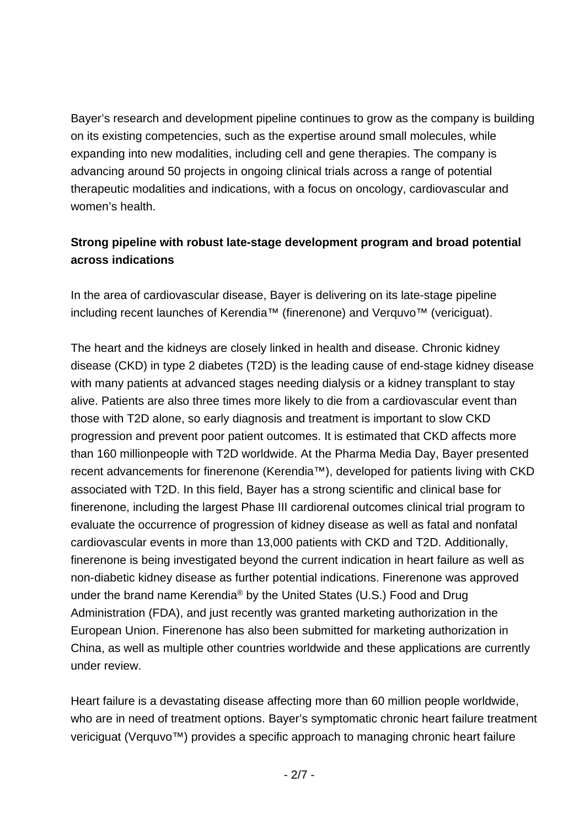Bayer's research and development pipeline continues to grow as the company is building on its existing competencies, such as the expertise around small molecules, while expanding into new modalities, including cell and gene therapies. The company is advancing around 50 projects in ongoing clinical trials across a range of potential therapeutic modalities and indications, with a focus on oncology, cardiovascular and women's health.

## **Strong pipeline with robust late-stage development program and broad potential across indications**

In the area of cardiovascular disease, Bayer is delivering on its late-stage pipeline including recent launches of Kerendia™ (finerenone) and Verquvo™ (vericiguat).

The heart and the kidneys are closely linked in health and disease. Chronic kidney disease (CKD) in type 2 diabetes (T2D) is the leading cause of end-stage kidney disease with many patients at advanced stages needing dialysis or a kidney transplant to stay alive. Patients are also three times more likely to die from a cardiovascular event than those with T2D alone, so early diagnosis and treatment is important to slow CKD progression and prevent poor patient outcomes. It is estimated that CKD affects more than 160 millionpeople with T2D worldwide. At the Pharma Media Day, Bayer presented recent advancements for finerenone (Kerendia™), developed for patients living with CKD associated with T2D. In this field, Bayer has a strong scientific and clinical base for finerenone, including the largest Phase III cardiorenal outcomes clinical trial program to evaluate the occurrence of progression of kidney disease as well as fatal and nonfatal cardiovascular events in more than 13,000 patients with CKD and T2D. Additionally, finerenone is being investigated beyond the current indication in heart failure as well as non-diabetic kidney disease as further potential indications. Finerenone was approved under the brand name Kerendia® by the United States (U.S.) Food and Drug Administration (FDA), and just recently was granted marketing authorization in the European Union. Finerenone has also been submitted for marketing authorization in China, as well as multiple other countries worldwide and these applications are currently under review.

Heart failure is a devastating disease affecting more than 60 million people worldwide, who are in need of treatment options. Bayer's symptomatic chronic heart failure treatment vericiguat (Verquvo™) provides a specific approach to managing chronic heart failure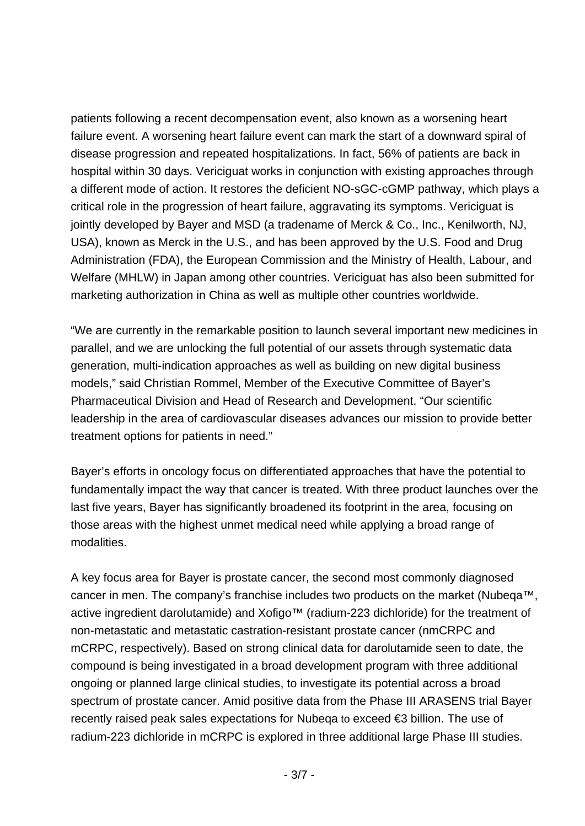patients following a recent decompensation event, also known as a worsening heart failure event. A worsening heart failure event can mark the start of a downward spiral of disease progression and repeated hospitalizations. In fact, 56% of patients are back in hospital within 30 days. Vericiguat works in conjunction with existing approaches through a different mode of action. It restores the deficient NO-sGC-cGMP pathway, which plays a critical role in the progression of heart failure, aggravating its symptoms. Vericiguat is jointly developed by Bayer and MSD (a tradename of Merck & Co., Inc., Kenilworth, NJ, USA), known as Merck in the U.S., and has been approved by the U.S. Food and Drug Administration (FDA), the European Commission and the Ministry of Health, Labour, and Welfare (MHLW) in Japan among other countries. Vericiguat has also been submitted for marketing authorization in China as well as multiple other countries worldwide.

"We are currently in the remarkable position to launch several important new medicines in parallel, and we are unlocking the full potential of our assets through systematic data generation, multi-indication approaches as well as building on new digital business models," said Christian Rommel, Member of the Executive Committee of Bayer's Pharmaceutical Division and Head of Research and Development. "Our scientific leadership in the area of cardiovascular diseases advances our mission to provide better treatment options for patients in need."

Bayer's efforts in oncology focus on differentiated approaches that have the potential to fundamentally impact the way that cancer is treated. With three product launches over the last five years, Bayer has significantly broadened its footprint in the area, focusing on those areas with the highest unmet medical need while applying a broad range of modalities.

A key focus area for Bayer is prostate cancer, the second most commonly diagnosed cancer in men. The company's franchise includes two products on the market (Nubeqa™, active ingredient darolutamide) and Xofigo™ (radium-223 dichloride) for the treatment of non-metastatic and metastatic castration-resistant prostate cancer (nmCRPC and mCRPC, respectively). Based on strong clinical data for darolutamide seen to date, the compound is being investigated in a broad development program with three additional ongoing or planned large clinical studies, to investigate its potential across a broad spectrum of prostate cancer. Amid positive data from the Phase III ARASENS trial Bayer recently raised peak sales expectations for Nubeqa to exceed €3 billion. The use of radium-223 dichloride in mCRPC is explored in three additional large Phase III studies.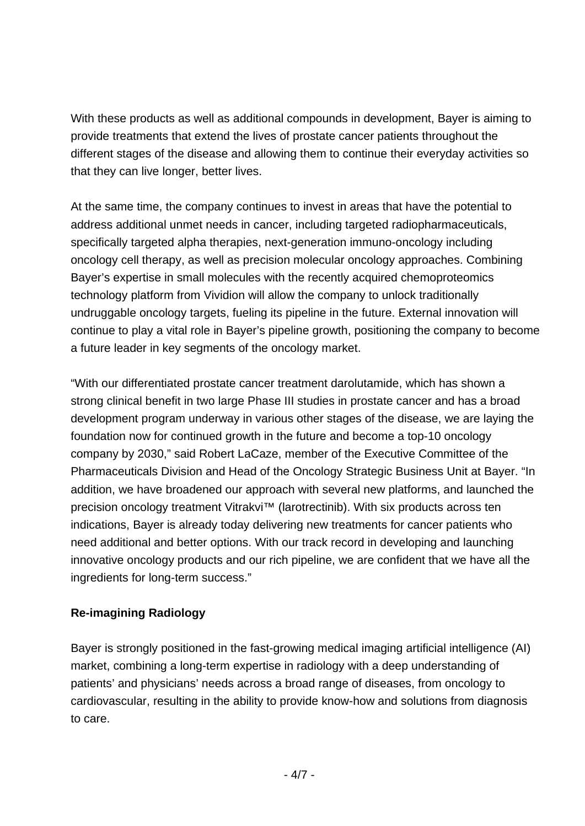With these products as well as additional compounds in development, Bayer is aiming to provide treatments that extend the lives of prostate cancer patients throughout the different stages of the disease and allowing them to continue their everyday activities so that they can live longer, better lives.

At the same time, the company continues to invest in areas that have the potential to address additional unmet needs in cancer, including targeted radiopharmaceuticals, specifically targeted alpha therapies, next-generation immuno-oncology including oncology cell therapy, as well as precision molecular oncology approaches. Combining Bayer's expertise in small molecules with the recently acquired chemoproteomics technology platform from Vividion will allow the company to unlock traditionally undruggable oncology targets, fueling its pipeline in the future. External innovation will continue to play a vital role in Bayer's pipeline growth, positioning the company to become a future leader in key segments of the oncology market.

"With our differentiated prostate cancer treatment darolutamide, which has shown a strong clinical benefit in two large Phase III studies in prostate cancer and has a broad development program underway in various other stages of the disease, we are laying the foundation now for continued growth in the future and become a top-10 oncology company by 2030," said Robert LaCaze, member of the Executive Committee of the Pharmaceuticals Division and Head of the Oncology Strategic Business Unit at Bayer. "In addition, we have broadened our approach with several new platforms, and launched the precision oncology treatment Vitrakvi<sup>™</sup> (larotrectinib). With six products across ten indications, Bayer is already today delivering new treatments for cancer patients who need additional and better options. With our track record in developing and launching innovative oncology products and our rich pipeline, we are confident that we have all the ingredients for long-term success."

### **Re-imagining Radiology**

Bayer is strongly positioned in the fast-growing medical imaging artificial intelligence (AI) market, combining a long-term expertise in radiology with a deep understanding of patients' and physicians' needs across a broad range of diseases, from oncology to cardiovascular, resulting in the ability to provide know-how and solutions from diagnosis to care.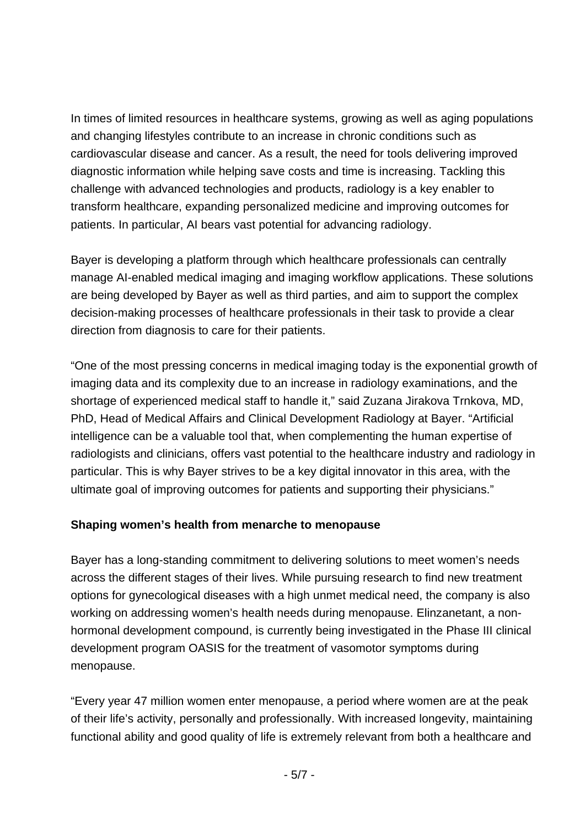In times of limited resources in healthcare systems, growing as well as aging populations and changing lifestyles contribute to an increase in chronic conditions such as cardiovascular disease and cancer. As a result, the need for tools delivering improved diagnostic information while helping save costs and time is increasing. Tackling this challenge with advanced technologies and products, radiology is a key enabler to transform healthcare, expanding personalized medicine and improving outcomes for patients. In particular, AI bears vast potential for advancing radiology.

Bayer is developing a platform through which healthcare professionals can centrally manage AI-enabled medical imaging and imaging workflow applications. These solutions are being developed by Bayer as well as third parties, and aim to support the complex decision-making processes of healthcare professionals in their task to provide a clear direction from diagnosis to care for their patients.

"One of the most pressing concerns in medical imaging today is the exponential growth of imaging data and its complexity due to an increase in radiology examinations, and the shortage of experienced medical staff to handle it," said Zuzana Jirakova Trnkova, MD, PhD, Head of Medical Affairs and Clinical Development Radiology at Bayer. "Artificial intelligence can be a valuable tool that, when complementing the human expertise of radiologists and clinicians, offers vast potential to the healthcare industry and radiology in particular. This is why Bayer strives to be a key digital innovator in this area, with the ultimate goal of improving outcomes for patients and supporting their physicians."

#### **Shaping women's health from menarche to menopause**

Bayer has a long-standing commitment to delivering solutions to meet women's needs across the different stages of their lives. While pursuing research to find new treatment options for gynecological diseases with a high unmet medical need, the company is also working on addressing women's health needs during menopause. Elinzanetant, a nonhormonal development compound, is currently being investigated in the Phase III clinical development program OASIS for the treatment of vasomotor symptoms during menopause.

"Every year 47 million women enter menopause, a period where women are at the peak of their life's activity, personally and professionally. With increased longevity, maintaining functional ability and good quality of life is extremely relevant from both a healthcare and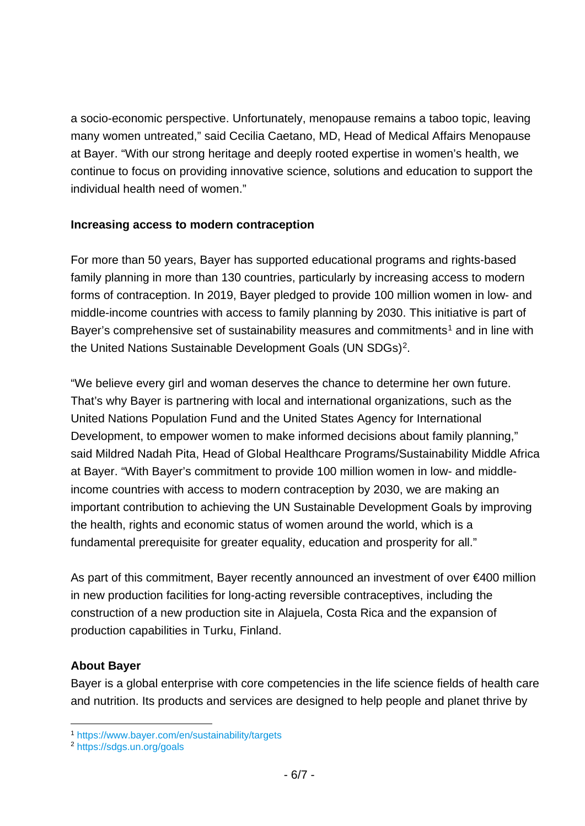a socio-economic perspective. Unfortunately, menopause remains a taboo topic, leaving many women untreated," said Cecilia Caetano, MD, Head of Medical Affairs Menopause at Bayer. "With our strong heritage and deeply rooted expertise in women's health, we continue to focus on providing innovative science, solutions and education to support the individual health need of women."

#### **Increasing access to modern contraception**

For more than 50 years, Bayer has supported educational programs and rights-based family planning in more than 130 countries, particularly by increasing access to modern forms of contraception. In 2019, Bayer pledged to provide 100 million women in low- and middle-income countries with access to family planning by 2030. This initiative is part of Bayer's comprehensive set of sustainability measures and commitments<sup>[1](#page-5-0)</sup> and in line with the United Nations Sustainable Development Goals (UN SDGs)[2](#page-5-1).

"We believe every girl and woman deserves the chance to determine her own future. That's why Bayer is partnering with local and international organizations, such as the United Nations Population Fund and the United States Agency for International Development, to empower women to make informed decisions about family planning," said Mildred Nadah Pita, Head of Global Healthcare Programs/Sustainability Middle Africa at Bayer. "With Bayer's commitment to provide 100 million women in low- and middleincome countries with access to modern contraception by 2030, we are making an important contribution to achieving the UN Sustainable Development Goals by improving the health, rights and economic status of women around the world, which is a fundamental prerequisite for greater equality, education and prosperity for all."

As part of this commitment, Bayer recently announced an investment of over €400 million in new production facilities for long-acting reversible contraceptives, including the construction of a new production site in Alajuela, Costa Rica and the expansion of production capabilities in Turku, Finland.

#### **About Bayer**

Bayer is a global enterprise with core competencies in the life science fields of health care and nutrition. Its products and services are designed to help people and planet thrive by

<span id="page-5-0"></span><sup>1</sup> <https://www.bayer.com/en/sustainability/targets>

<span id="page-5-1"></span><sup>2</sup> <https://sdgs.un.org/goals>